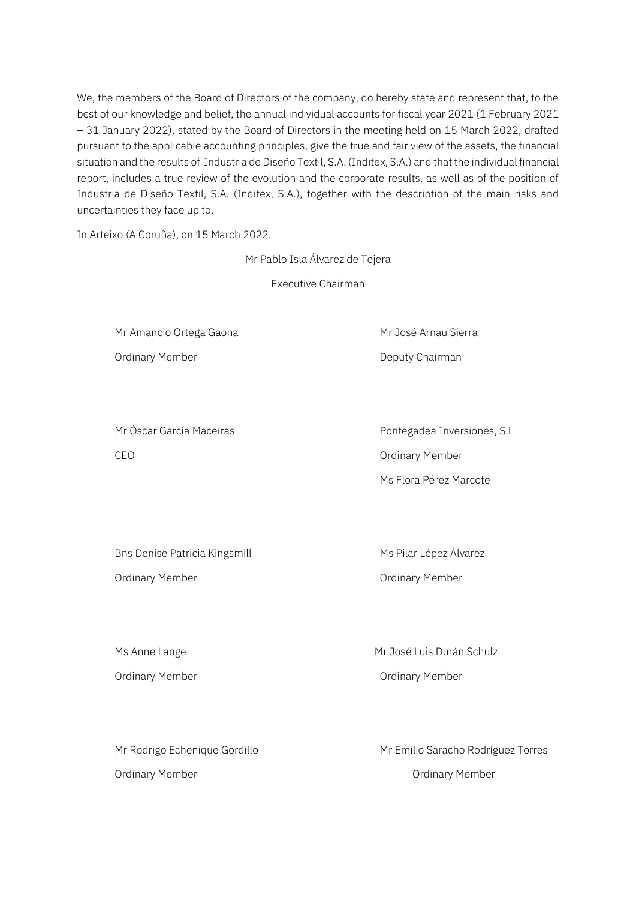We, the members of the Board of Directors of the company, do hereby state and represent that, to the best of our knowledge and belief, the annual individual accounts for fiscal year 2021 (1 February 2021 – 31 January 2022), stated by the Board of Directors in the meeting held on 15 March 2022, drafted pursuant to the applicable accounting principles, give the true and fair view of the assets, the financial situation and the results of Industria de Diseño Textil, S.A. (Inditex, S.A.) and that the individual financial report, includes a true review of the evolution and the corporate results, as well as of the position of Industria de Diseño Textil, S.A. (Inditex, S.A.), together with the description of the main risks and uncertainties they face up to.

In Arteixo (A Coruña), on 15 March 2022.

Mr Pablo Isla Álvarez de Tejera

Executive Chairman

Mr Amancio Ortega Gaona Mr José Arnau Sierra

Ordinary Member **Deputy Chairman** 

Mr Óscar García Maceiras **Pontegadea Inversiones, S.L** CEO CEO CONTROLLER CONTROLLER CONTROLLER CONTROLLER OR ORDER OF SAMPLE OF STATISTICS.

Ms Flora Pérez Marcote

Bns Denise Patricia Kingsmill Ms Pilar López Álvarez

Ordinary Member Ordinary Member

Ordinary Member **Ordinary Member Ordinary Member** 

Ms Anne Lange Mr José Luis Durán Schulz Ordinary Member **Contract Contract Contract Contract Contract Contract Contract Contract Contract Contract Contract Contract Contract Contract Contract Contract Contract Contract Contract Contract Contract Contract Contrac** 

Mr Rodrigo Echenique Gordillo **Mr Emilio Saracho Rodríguez Torres** Mr Emilio Saracho Rodríguez Torres